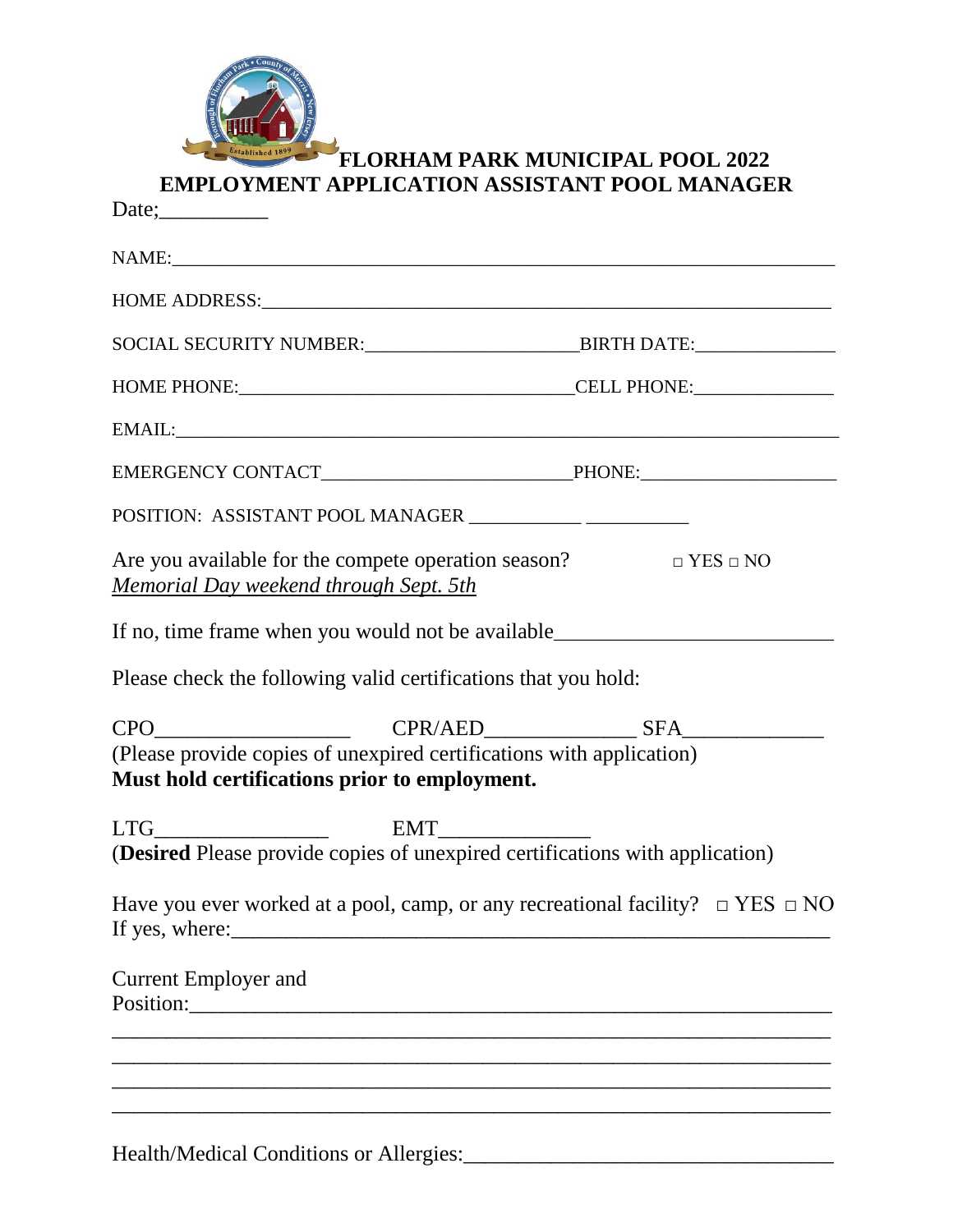| ain Park         |   |
|------------------|---|
| <b>CALLED</b>    |   |
| l S              |   |
| ö<br>n           |   |
| <b>Bino</b> zo   |   |
|                  |   |
|                  |   |
| Established 1899 | ŀ |
|                  |   |

# **FLORHAM PARK MUNICIPAL POOL 2022 EMPLOYMENT APPLICATION ASSISTANT POOL MANAGER**

| Date; $\frac{1}{2}$                                                                                                      |  |
|--------------------------------------------------------------------------------------------------------------------------|--|
| NAME: NAME:                                                                                                              |  |
|                                                                                                                          |  |
| SOCIAL SECURITY NUMBER:_____________________________BIRTH DATE:_________________                                         |  |
|                                                                                                                          |  |
|                                                                                                                          |  |
|                                                                                                                          |  |
| POSITION: ASSISTANT POOL MANAGER ___________ ___________                                                                 |  |
| Are you available for the compete operation season? $\square$ YES $\square$ NO<br>Memorial Day weekend through Sept. 5th |  |
| If no, time frame when you would not be available________________________________                                        |  |
| Please check the following valid certifications that you hold:                                                           |  |
| (Please provide copies of unexpired certifications with application)<br>Must hold certifications prior to employment.    |  |
|                                                                                                                          |  |
| Have you ever worked at a pool, camp, or any recreational facility? $\Box$ YES $\Box$ NO                                 |  |
| <b>Current Employer and</b><br>Position:                                                                                 |  |
|                                                                                                                          |  |
|                                                                                                                          |  |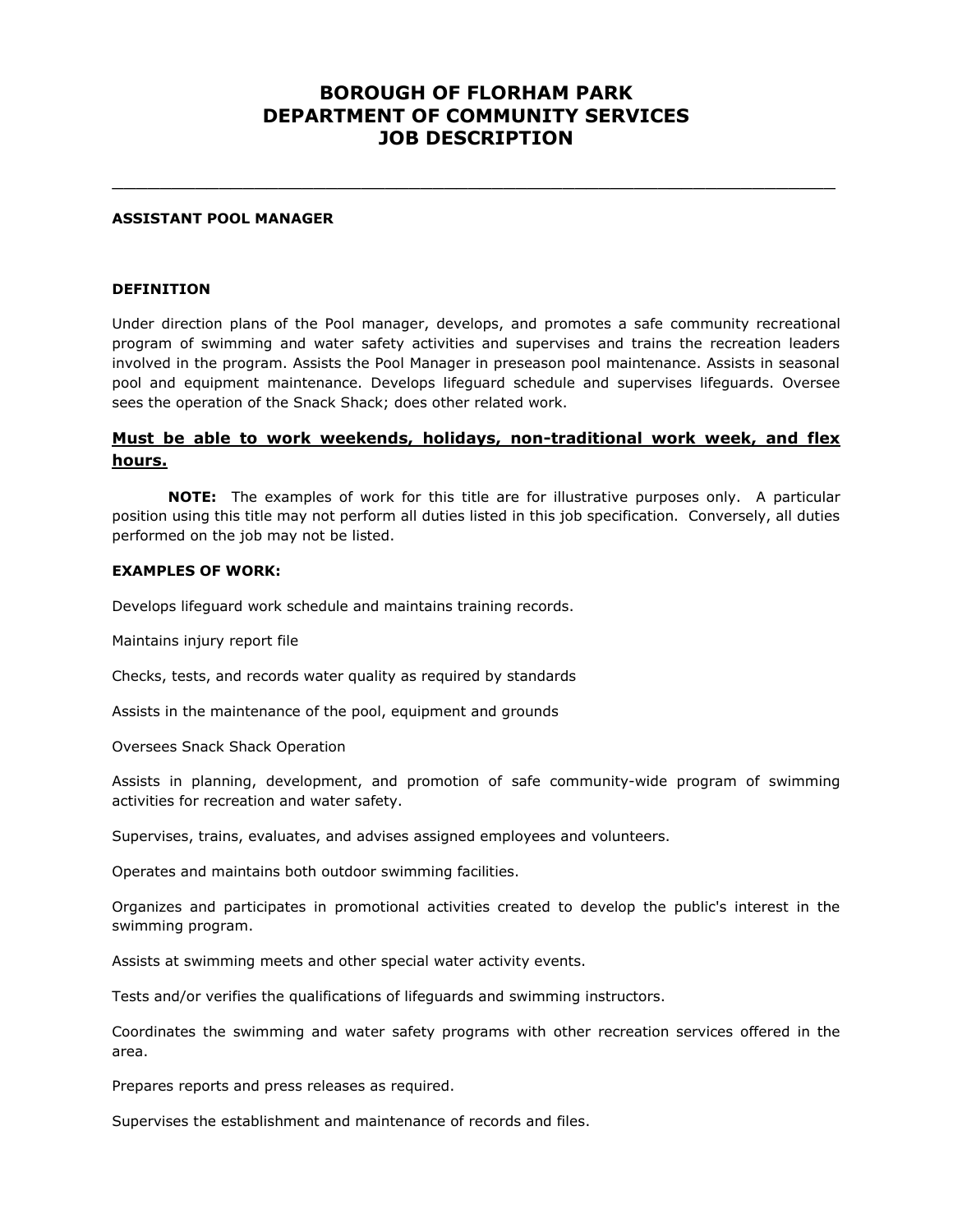## **BOROUGH OF FLORHAM PARK DEPARTMENT OF COMMUNITY SERVICES JOB DESCRIPTION**

\_\_\_\_\_\_\_\_\_\_\_\_\_\_\_\_\_\_\_\_\_\_\_\_\_\_\_\_\_\_\_\_\_\_\_\_\_\_\_\_\_\_\_\_\_\_\_\_\_\_\_\_\_\_\_\_\_\_\_\_\_

#### **ASSISTANT POOL MANAGER**

#### **DEFINITION**

Under direction plans of the Pool manager, develops, and promotes a safe community recreational program of swimming and water safety activities and supervises and trains the recreation leaders involved in the program. Assists the Pool Manager in preseason pool maintenance. Assists in seasonal pool and equipment maintenance. Develops lifeguard schedule and supervises lifeguards. Oversee sees the operation of the Snack Shack; does other related work.

### **Must be able to work weekends, holidays, non-traditional work week, and flex hours.**

**NOTE:** The examples of work for this title are for illustrative purposes only. A particular position using this title may not perform all duties listed in this job specification. Conversely, all duties performed on the job may not be listed.

#### **EXAMPLES OF WORK:**

Develops lifeguard work schedule and maintains training records.

Maintains injury report file

Checks, tests, and records water quality as required by standards

Assists in the maintenance of the pool, equipment and grounds

Oversees Snack Shack Operation

Assists in planning, development, and promotion of safe community-wide program of swimming activities for recreation and water safety.

Supervises, trains, evaluates, and advises assigned employees and volunteers.

Operates and maintains both outdoor swimming facilities.

Organizes and participates in promotional activities created to develop the public's interest in the swimming program.

Assists at swimming meets and other special water activity events.

Tests and/or verifies the qualifications of lifeguards and swimming instructors.

Coordinates the swimming and water safety programs with other recreation services offered in the area.

Prepares reports and press releases as required.

Supervises the establishment and maintenance of records and files.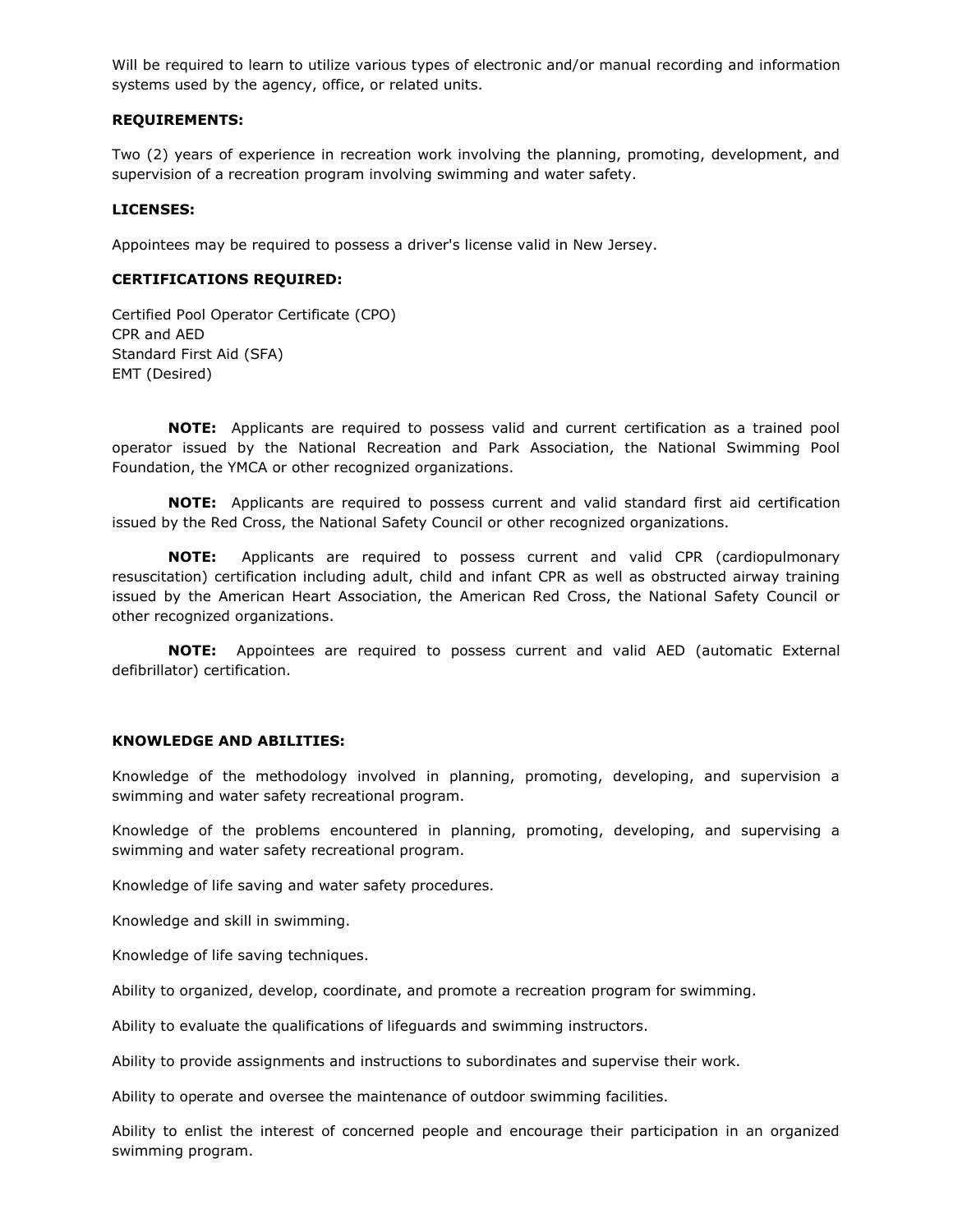Will be required to learn to utilize various types of electronic and/or manual recording and information systems used by the agency, office, or related units.

#### **REQUIREMENTS:**

Two (2) years of experience in recreation work involving the planning, promoting, development, and supervision of a recreation program involving swimming and water safety.

### **LICENSES:**

Appointees may be required to possess a driver's license valid in New Jersey.

#### **CERTIFICATIONS REQUIRED:**

Certified Pool Operator Certificate (CPO) CPR and AED Standard First Aid (SFA) EMT (Desired)

**NOTE:** Applicants are required to possess valid and current certification as a trained pool operator issued by the National Recreation and Park Association, the National Swimming Pool Foundation, the YMCA or other recognized organizations.

**NOTE:** Applicants are required to possess current and valid standard first aid certification issued by the Red Cross, the National Safety Council or other recognized organizations.

**NOTE:** Applicants are required to possess current and valid CPR (cardiopulmonary resuscitation) certification including adult, child and infant CPR as well as obstructed airway training issued by the American Heart Association, the American Red Cross, the National Safety Council or other recognized organizations.

**NOTE:** Appointees are required to possess current and valid AED (automatic External defibrillator) certification.

### **KNOWLEDGE AND ABILITIES:**

Knowledge of the methodology involved in planning, promoting, developing, and supervision a swimming and water safety recreational program.

Knowledge of the problems encountered in planning, promoting, developing, and supervising a swimming and water safety recreational program.

Knowledge of life saving and water safety procedures.

Knowledge and skill in swimming.

Knowledge of life saving techniques.

Ability to organized, develop, coordinate, and promote a recreation program for swimming.

Ability to evaluate the qualifications of lifeguards and swimming instructors.

Ability to provide assignments and instructions to subordinates and supervise their work.

Ability to operate and oversee the maintenance of outdoor swimming facilities.

Ability to enlist the interest of concerned people and encourage their participation in an organized swimming program.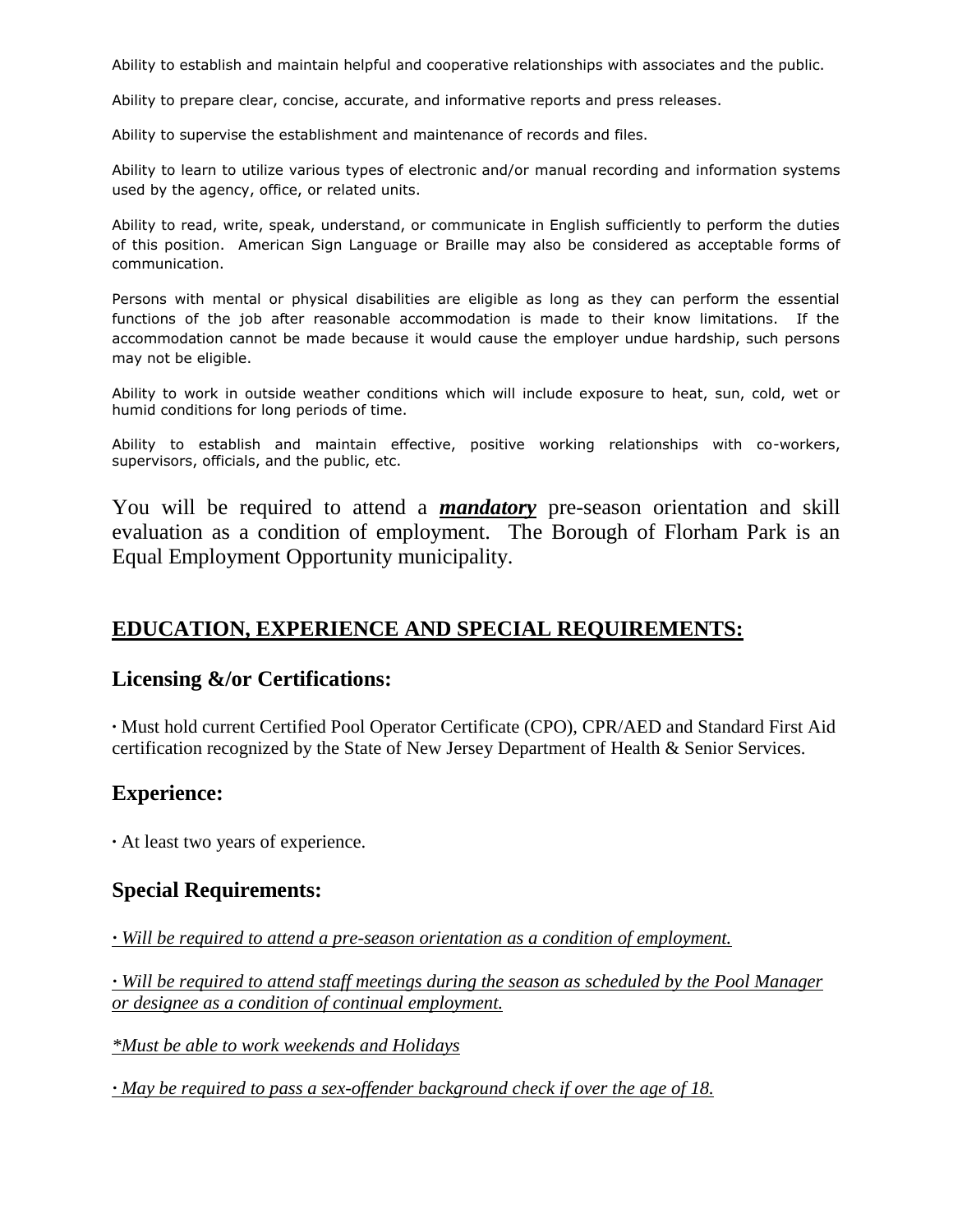Ability to establish and maintain helpful and cooperative relationships with associates and the public.

Ability to prepare clear, concise, accurate, and informative reports and press releases.

Ability to supervise the establishment and maintenance of records and files.

Ability to learn to utilize various types of electronic and/or manual recording and information systems used by the agency, office, or related units.

Ability to read, write, speak, understand, or communicate in English sufficiently to perform the duties of this position. American Sign Language or Braille may also be considered as acceptable forms of communication.

Persons with mental or physical disabilities are eligible as long as they can perform the essential functions of the job after reasonable accommodation is made to their know limitations. If the accommodation cannot be made because it would cause the employer undue hardship, such persons may not be eligible.

Ability to work in outside weather conditions which will include exposure to heat, sun, cold, wet or humid conditions for long periods of time.

Ability to establish and maintain effective, positive working relationships with co-workers, supervisors, officials, and the public, etc.

You will be required to attend a *mandatory* pre-season orientation and skill evaluation as a condition of employment. The Borough of Florham Park is an Equal Employment Opportunity municipality.

## **EDUCATION, EXPERIENCE AND SPECIAL REQUIREMENTS:**

### **Licensing &/or Certifications:**

**∙** Must hold current Certified Pool Operator Certificate (CPO), CPR/AED and Standard First Aid certification recognized by the State of New Jersey Department of Health & Senior Services.

## **Experience:**

**∙** At least two years of experience.

### **Special Requirements:**

*∙ Will be required to attend a pre-season orientation as a condition of employment.*

*∙ Will be required to attend staff meetings during the season as scheduled by the Pool Manager or designee as a condition of continual employment.*

*\*Must be able to work weekends and Holidays*

*∙ May be required to pass a sex-offender background check if over the age of 18.*